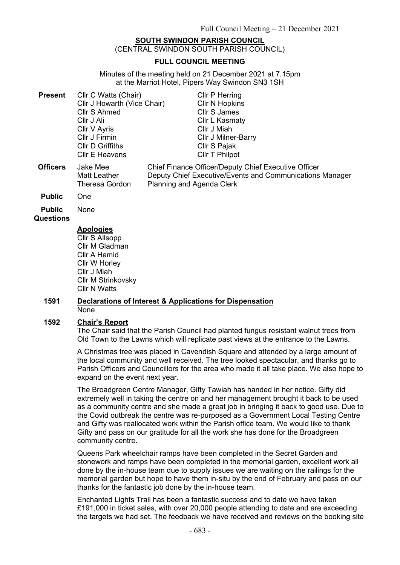# **SOUTH SWINDON PARISH COUNCIL**

(CENTRAL SWINDON SOUTH PARISH COUNCIL)

#### **FULL COUNCIL MEETING**

Minutes of the meeting held on 21 December 2021 at 7.15pm at the Marriot Hotel, Pipers Way Swindon SN3 1SH

| <b>Present</b>  | Cllr C Watts (Chair)<br>Cllr J Howarth (Vice Chair)<br>Cllr S Ahmed<br>Cllr J Ali<br>Cllr V Ayris<br>Cllr J Firmin | Cllr P Herring<br><b>CIIr N Hopkins</b><br><b>Cllr S James</b><br>Cllr L Kasmaty<br>Cllr J Miah<br><b>CIIr J Milner-Barry</b>                                                          |
|-----------------|--------------------------------------------------------------------------------------------------------------------|----------------------------------------------------------------------------------------------------------------------------------------------------------------------------------------|
| <b>Officers</b> | <b>CIIr D Griffiths</b><br><b>CIIr E Heavens</b><br>Jake Mee<br><b>Matt Leather</b><br><b>Theresa Gordon</b>       | Cllr S Pajak<br><b>CIIr T Philpot</b><br>Chief Finance Officer/Deputy Chief Executive Officer<br>Deputy Chief Executive/Events and Communications Manager<br>Planning and Agenda Clerk |
|                 |                                                                                                                    |                                                                                                                                                                                        |

- **Public** One
- **Public**  None

**Questions**

## **Apologies**

Cllr S Allsopp Cllr M Gladman Cllr A Hamid Cllr W Horley Cllr J Miah Cllr M Strinkovsky Cllr N Watts

#### **1591 Declarations of Interest & Applications for Dispensation** None

### **1592 Chair's Report**

The Chair said that the Parish Council had planted fungus resistant walnut trees from Old Town to the Lawns which will replicate past views at the entrance to the Lawns.

A Christmas tree was placed in Cavendish Square and attended by a large amount of the local community and well received. The tree looked spectacular, and thanks go to Parish Officers and Councillors for the area who made it all take place. We also hope to expand on the event next year.

The Broadgreen Centre Manager, Gifty Tawiah has handed in her notice. Gifty did extremely well in taking the centre on and her management brought it back to be used as a community centre and she made a great job in bringing it back to good use. Due to the Covid outbreak the centre was re-purposed as a Government Local Testing Centre and Gifty was reallocated work within the Parish office team. We would like to thank Gifty and pass on our gratitude for all the work she has done for the Broadgreen community centre.

Queens Park wheelchair ramps have been completed in the Secret Garden and stonework and ramps have been completed in the memorial garden, excellent work all done by the in-house team due to supply issues we are waiting on the railings for the memorial garden but hope to have them in-situ by the end of February and pass on our thanks for the fantastic job done by the in-house team.

Enchanted Lights Trail has been a fantastic success and to date we have taken £191,000 in ticket sales, with over 20,000 people attending to date and are exceeding the targets we had set. The feedback we have received and reviews on the booking site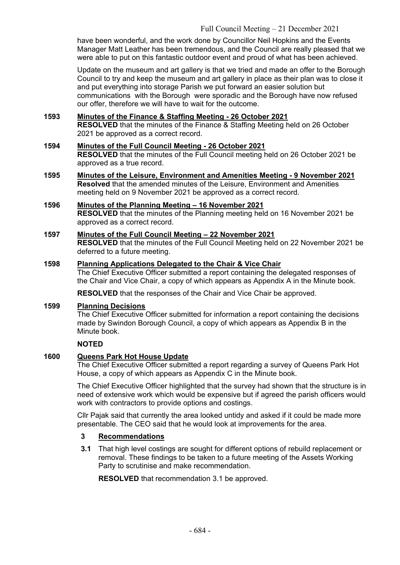have been wonderful, and the work done by Councillor Neil Hopkins and the Events Manager Matt Leather has been tremendous, and the Council are really pleased that we were able to put on this fantastic outdoor event and proud of what has been achieved.

Update on the museum and art gallery is that we tried and made an offer to the Borough Council to try and keep the museum and art gallery in place as their plan was to close it and put everything into storage Parish we put forward an easier solution but communications with the Borough were sporadic and the Borough have now refused our offer, therefore we will have to wait for the outcome.

## **1593 Minutes of the Finance & Staffing Meeting - 26 October 2021**

**RESOLVED** that the minutes of the Finance & Staffing Meeting held on 26 October 2021 be approved as a correct record.

### **1594 Minutes of the Full Council Meeting - 26 October 2021**

**RESOLVED** that the minutes of the Full Council meeting held on 26 October 2021 be approved as a true record.

- **1595 Minutes of the Leisure, Environment and Amenities Meeting - 9 November 2021 Resolved** that the amended minutes of the Leisure, Environment and Amenities meeting held on 9 November 2021 be approved as a correct record.
- **1596 Minutes of the Planning Meeting – 16 November 2021 RESOLVED** that the minutes of the Planning meeting held on 16 November 2021 be approved as a correct record.

## **1597 Minutes of the Full Council Meeting – 22 November 2021**

**RESOLVED** that the minutes of the Full Council Meeting held on 22 November 2021 be deferred to a future meeting.

#### **1598 Planning Applications Delegated to the Chair & Vice Chair**

The Chief Executive Officer submitted a report containing the delegated responses of the Chair and Vice Chair, a copy of which appears as Appendix A in the Minute book.

**RESOLVED** that the responses of the Chair and Vice Chair be approved.

## **1599 Planning Decisions**

The Chief Executive Officer submitted for information a report containing the decisions made by Swindon Borough Council, a copy of which appears as Appendix B in the Minute book.

## **NOTED**

## **1600 Queens Park Hot House Update**

The Chief Executive Officer submitted a report regarding a survey of Queens Park Hot House, a copy of which appears as Appendix C in the Minute book.

The Chief Executive Officer highlighted that the survey had shown that the structure is in need of extensive work which would be expensive but if agreed the parish officers would work with contractors to provide options and costings.

Cllr Pajak said that currently the area looked untidy and asked if it could be made more presentable. The CEO said that he would look at improvements for the area.

## **3 Recommendations**

**3.1** That high level costings are sought for different options of rebuild replacement or removal. These findings to be taken to a future meeting of the Assets Working Party to scrutinise and make recommendation.

**RESOLVED** that recommendation 3.1 be approved.